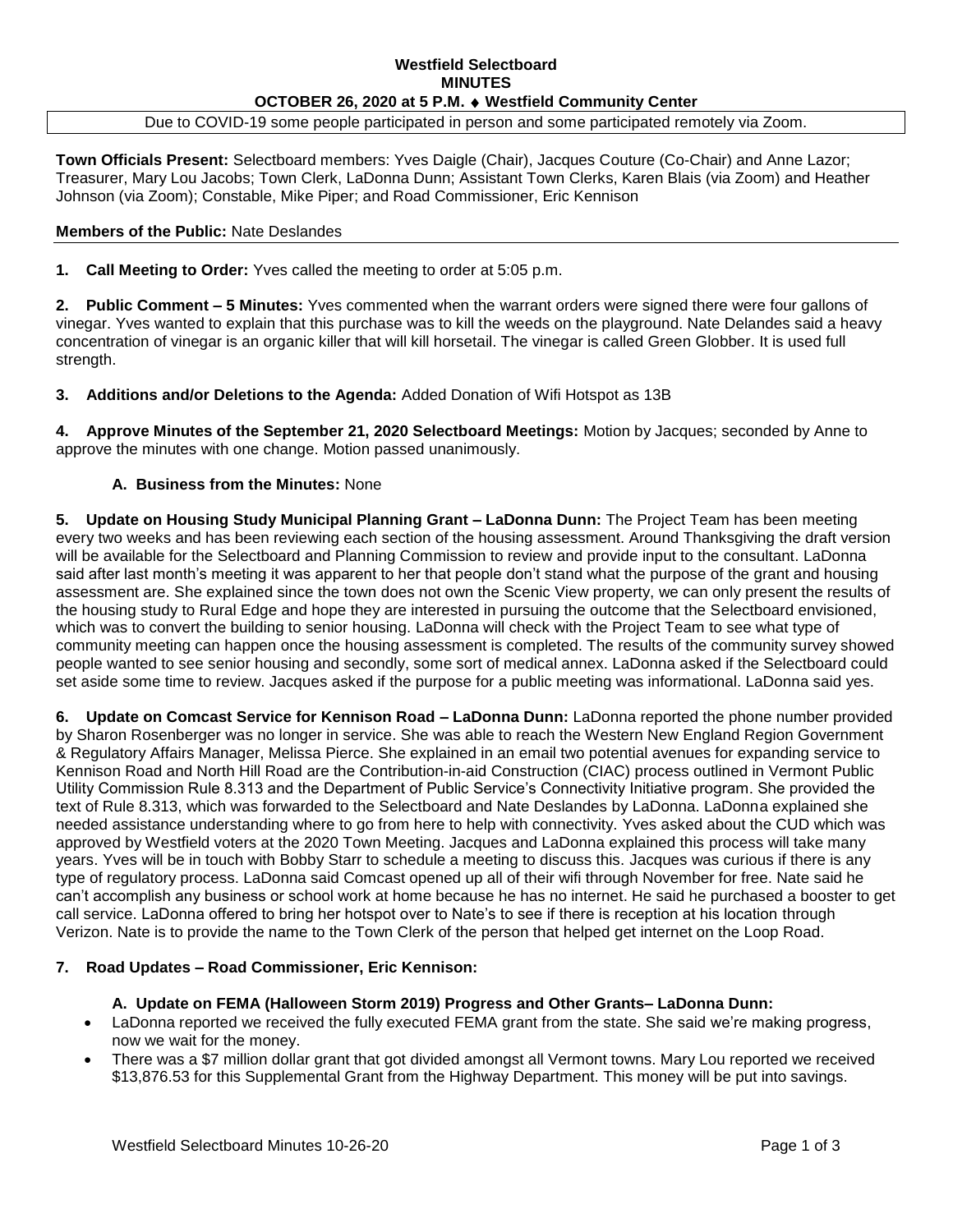## **Westfield Selectboard MINUTES OCTOBER 26, 2020 at 5 P.M. Westfield Community Center**

Due to COVID-19 some people participated in person and some participated remotely via Zoom.

**Town Officials Present:** Selectboard members: Yves Daigle (Chair), Jacques Couture (Co-Chair) and Anne Lazor; Treasurer, Mary Lou Jacobs; Town Clerk, LaDonna Dunn; Assistant Town Clerks, Karen Blais (via Zoom) and Heather Johnson (via Zoom); Constable, Mike Piper; and Road Commissioner, Eric Kennison

#### **Members of the Public:** Nate Deslandes

**1. Call Meeting to Order:** Yves called the meeting to order at 5:05 p.m.

**2. Public Comment – 5 Minutes:** Yves commented when the warrant orders were signed there were four gallons of vinegar. Yves wanted to explain that this purchase was to kill the weeds on the playground. Nate Delandes said a heavy concentration of vinegar is an organic killer that will kill horsetail. The vinegar is called Green Globber. It is used full strength.

**3. Additions and/or Deletions to the Agenda:** Added Donation of Wifi Hotspot as 13B

**4. Approve Minutes of the September 21, 2020 Selectboard Meetings:** Motion by Jacques; seconded by Anne to approve the minutes with one change. Motion passed unanimously.

### **A. Business from the Minutes:** None

**5. Update on Housing Study Municipal Planning Grant – LaDonna Dunn:** The Project Team has been meeting every two weeks and has been reviewing each section of the housing assessment. Around Thanksgiving the draft version will be available for the Selectboard and Planning Commission to review and provide input to the consultant. LaDonna said after last month's meeting it was apparent to her that people don't stand what the purpose of the grant and housing assessment are. She explained since the town does not own the Scenic View property, we can only present the results of the housing study to Rural Edge and hope they are interested in pursuing the outcome that the Selectboard envisioned, which was to convert the building to senior housing. LaDonna will check with the Project Team to see what type of community meeting can happen once the housing assessment is completed. The results of the community survey showed people wanted to see senior housing and secondly, some sort of medical annex. LaDonna asked if the Selectboard could set aside some time to review. Jacques asked if the purpose for a public meeting was informational. LaDonna said yes.

**6. Update on Comcast Service for Kennison Road – LaDonna Dunn:** LaDonna reported the phone number provided by Sharon Rosenberger was no longer in service. She was able to reach the Western New England Region Government & Regulatory Affairs Manager, Melissa Pierce. She explained in an email two potential avenues for expanding service to Kennison Road and North Hill Road are the Contribution-in-aid Construction (CIAC) process outlined in Vermont Public Utility Commission Rule 8.313 and the Department of Public Service's Connectivity Initiative program. She provided the text of Rule 8.313, which was forwarded to the Selectboard and Nate Deslandes by LaDonna. LaDonna explained she needed assistance understanding where to go from here to help with connectivity. Yves asked about the CUD which was approved by Westfield voters at the 2020 Town Meeting. Jacques and LaDonna explained this process will take many years. Yves will be in touch with Bobby Starr to schedule a meeting to discuss this. Jacques was curious if there is any type of regulatory process. LaDonna said Comcast opened up all of their wifi through November for free. Nate said he can't accomplish any business or school work at home because he has no internet. He said he purchased a booster to get call service. LaDonna offered to bring her hotspot over to Nate's to see if there is reception at his location through Verizon. Nate is to provide the name to the Town Clerk of the person that helped get internet on the Loop Road.

#### **7. Road Updates – Road Commissioner, Eric Kennison:**

#### **A. Update on FEMA (Halloween Storm 2019) Progress and Other Grants– LaDonna Dunn:**

- LaDonna reported we received the fully executed FEMA grant from the state. She said we're making progress, now we wait for the money.
- There was a \$7 million dollar grant that got divided amongst all Vermont towns. Mary Lou reported we received \$13,876.53 for this Supplemental Grant from the Highway Department. This money will be put into savings.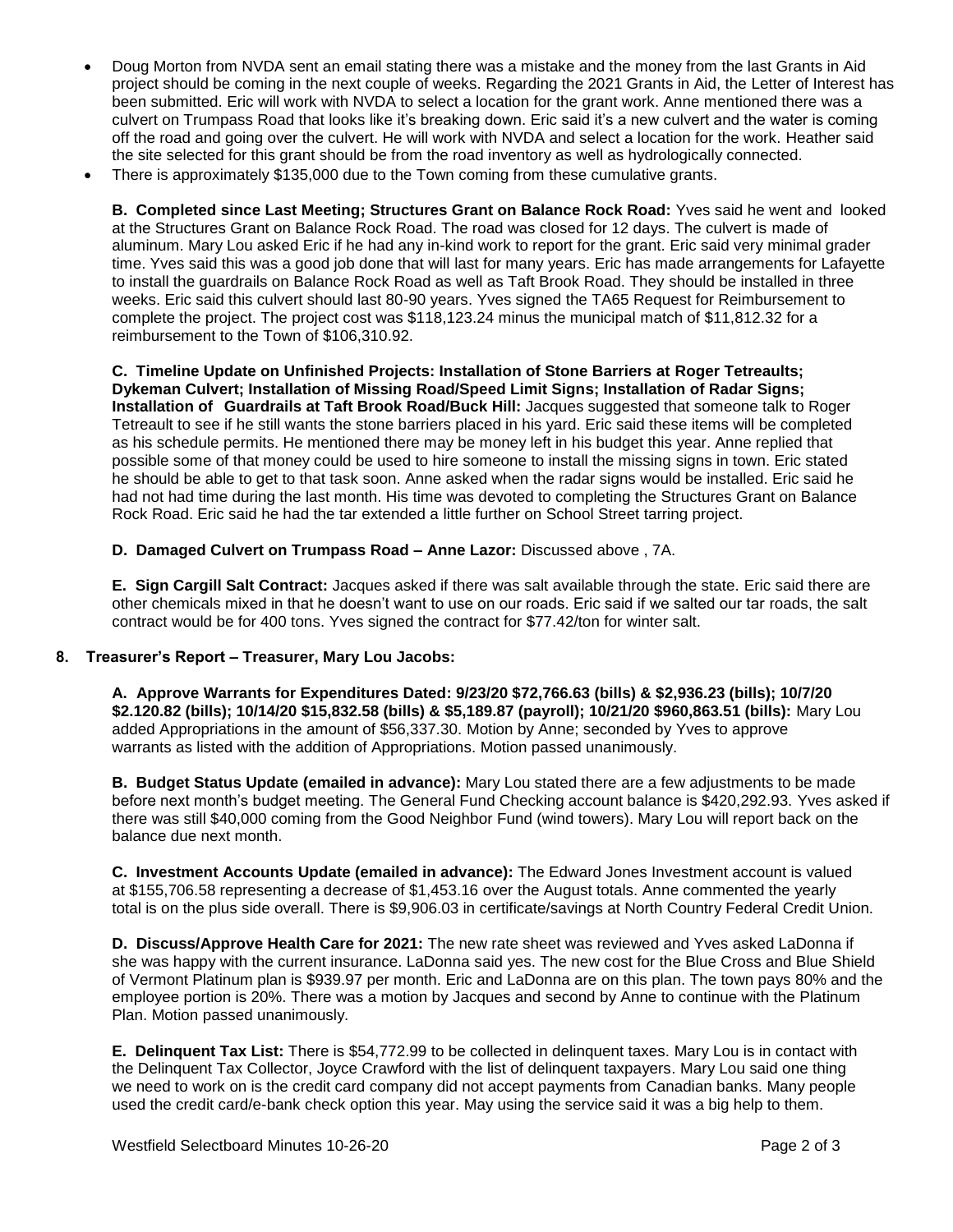- Doug Morton from NVDA sent an email stating there was a mistake and the money from the last Grants in Aid project should be coming in the next couple of weeks. Regarding the 2021 Grants in Aid, the Letter of Interest has been submitted. Eric will work with NVDA to select a location for the grant work. Anne mentioned there was a culvert on Trumpass Road that looks like it's breaking down. Eric said it's a new culvert and the water is coming off the road and going over the culvert. He will work with NVDA and select a location for the work. Heather said the site selected for this grant should be from the road inventory as well as hydrologically connected.
- There is approximately \$135,000 due to the Town coming from these cumulative grants.

**B. Completed since Last Meeting; Structures Grant on Balance Rock Road:** Yves said he went and looked at the Structures Grant on Balance Rock Road. The road was closed for 12 days. The culvert is made of aluminum. Mary Lou asked Eric if he had any in-kind work to report for the grant. Eric said very minimal grader time. Yves said this was a good job done that will last for many years. Eric has made arrangements for Lafayette to install the guardrails on Balance Rock Road as well as Taft Brook Road. They should be installed in three weeks. Eric said this culvert should last 80-90 years. Yves signed the TA65 Request for Reimbursement to complete the project. The project cost was \$118,123.24 minus the municipal match of \$11,812.32 for a reimbursement to the Town of \$106,310.92.

**C. Timeline Update on Unfinished Projects: Installation of Stone Barriers at Roger Tetreaults; Dykeman Culvert; Installation of Missing Road/Speed Limit Signs; Installation of Radar Signs; Installation of Guardrails at Taft Brook Road/Buck Hill:** Jacques suggested that someone talk to Roger Tetreault to see if he still wants the stone barriers placed in his yard. Eric said these items will be completed as his schedule permits. He mentioned there may be money left in his budget this year. Anne replied that possible some of that money could be used to hire someone to install the missing signs in town. Eric stated he should be able to get to that task soon. Anne asked when the radar signs would be installed. Eric said he had not had time during the last month. His time was devoted to completing the Structures Grant on Balance Rock Road. Eric said he had the tar extended a little further on School Street tarring project.

#### **D. Damaged Culvert on Trumpass Road – Anne Lazor:** Discussed above , 7A.

**E. Sign Cargill Salt Contract:** Jacques asked if there was salt available through the state. Eric said there are other chemicals mixed in that he doesn't want to use on our roads. Eric said if we salted our tar roads, the salt contract would be for 400 tons. Yves signed the contract for \$77.42/ton for winter salt.

#### **8. Treasurer's Report – Treasurer, Mary Lou Jacobs:**

**A. Approve Warrants for Expenditures Dated: 9/23/20 \$72,766.63 (bills) & \$2,936.23 (bills); 10/7/20 \$2.120.82 (bills); 10/14/20 \$15,832.58 (bills) & \$5,189.87 (payroll); 10/21/20 \$960,863.51 (bills):** Mary Lou added Appropriations in the amount of \$56,337.30. Motion by Anne; seconded by Yves to approve warrants as listed with the addition of Appropriations. Motion passed unanimously.

**B. Budget Status Update (emailed in advance):** Mary Lou stated there are a few adjustments to be made before next month's budget meeting. The General Fund Checking account balance is \$420,292.93. Yves asked if there was still \$40,000 coming from the Good Neighbor Fund (wind towers). Mary Lou will report back on the balance due next month.

**C. Investment Accounts Update (emailed in advance):** The Edward Jones Investment account is valued at \$155,706.58 representing a decrease of \$1,453.16 over the August totals. Anne commented the yearly total is on the plus side overall. There is \$9,906.03 in certificate/savings at North Country Federal Credit Union.

**D. Discuss/Approve Health Care for 2021:** The new rate sheet was reviewed and Yves asked LaDonna if she was happy with the current insurance. LaDonna said yes. The new cost for the Blue Cross and Blue Shield of Vermont Platinum plan is \$939.97 per month. Eric and LaDonna are on this plan. The town pays 80% and the employee portion is 20%. There was a motion by Jacques and second by Anne to continue with the Platinum Plan. Motion passed unanimously.

**E. Delinquent Tax List:** There is \$54,772.99 to be collected in delinquent taxes. Mary Lou is in contact with the Delinquent Tax Collector, Joyce Crawford with the list of delinquent taxpayers. Mary Lou said one thing we need to work on is the credit card company did not accept payments from Canadian banks. Many people used the credit card/e-bank check option this year. May using the service said it was a big help to them.